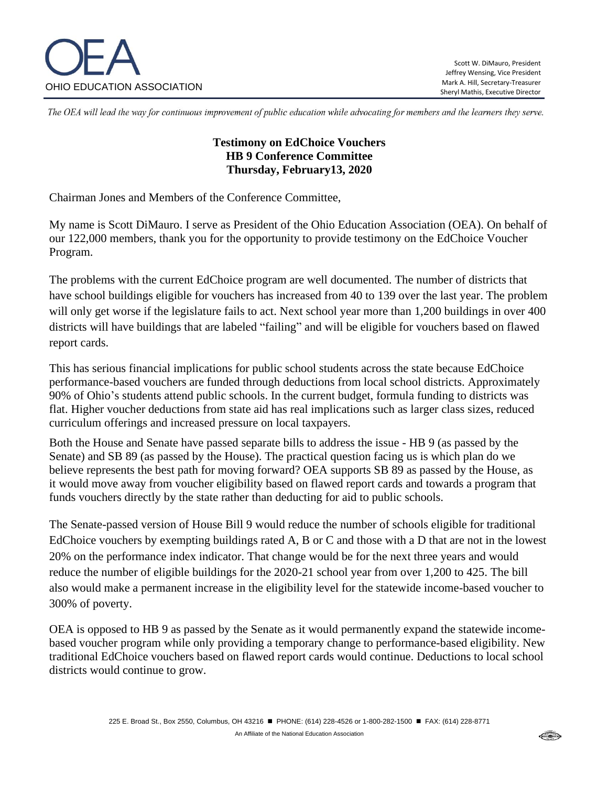

The OEA will lead the way for continuous improvement of public education while advocating for members and the learners they serve.

## **Testimony on EdChoice Vouchers HB 9 Conference Committee Thursday, February13, 2020**

Chairman Jones and Members of the Conference Committee,

My name is Scott DiMauro. I serve as President of the Ohio Education Association (OEA). On behalf of our 122,000 members, thank you for the opportunity to provide testimony on the EdChoice Voucher Program.

The problems with the current EdChoice program are well documented. The number of districts that have school buildings eligible for vouchers has increased from 40 to 139 over the last year. The problem will only get worse if the legislature fails to act. Next school year more than 1,200 buildings in over 400 districts will have buildings that are labeled "failing" and will be eligible for vouchers based on flawed report cards.

This has serious financial implications for public school students across the state because EdChoice performance-based vouchers are funded through deductions from local school districts. Approximately 90% of Ohio's students attend public schools. In the current budget, formula funding to districts was flat. Higher voucher deductions from state aid has real implications such as larger class sizes, reduced curriculum offerings and increased pressure on local taxpayers.

Both the House and Senate have passed separate bills to address the issue - HB 9 (as passed by the Senate) and SB 89 (as passed by the House). The practical question facing us is which plan do we believe represents the best path for moving forward? OEA supports SB 89 as passed by the House, as it would move away from voucher eligibility based on flawed report cards and towards a program that funds vouchers directly by the state rather than deducting for aid to public schools.

The Senate-passed version of House Bill 9 would reduce the number of schools eligible for traditional EdChoice vouchers by exempting buildings rated A, B or C and those with a D that are not in the lowest 20% on the performance index indicator. That change would be for the next three years and would reduce the number of eligible buildings for the 2020-21 school year from over 1,200 to 425. The bill also would make a permanent increase in the eligibility level for the statewide income-based voucher to 300% of poverty.

OEA is opposed to HB 9 as passed by the Senate as it would permanently expand the statewide incomebased voucher program while only providing a temporary change to performance-based eligibility. New traditional EdChoice vouchers based on flawed report cards would continue. Deductions to local school districts would continue to grow.